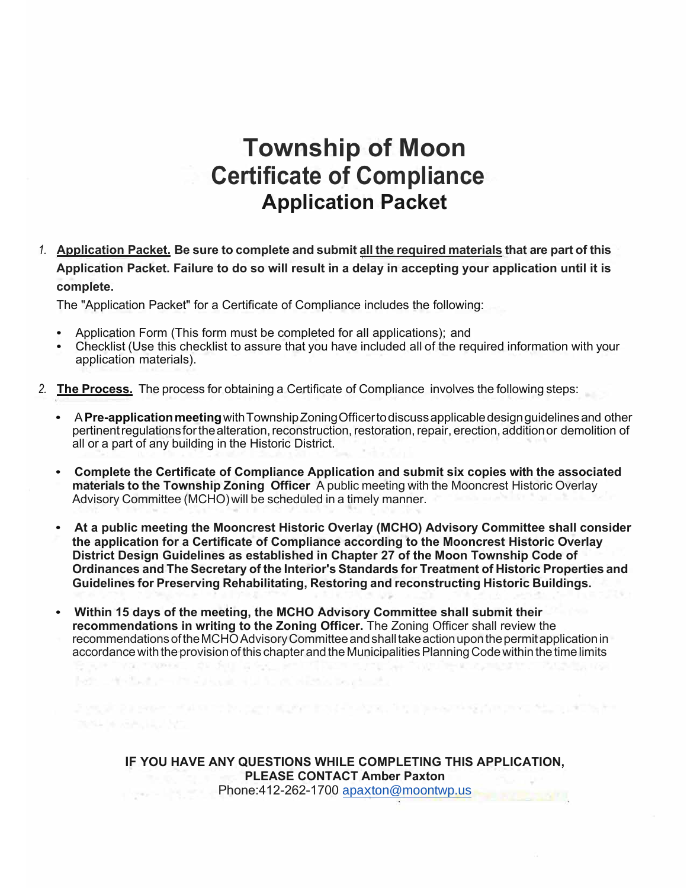### **Township of Moon Certificate of Compliance Application Packet**

1. Application Packet. Be sure to complete and submit all the required materials that are part of this **Application Packet. Failure to do so will result in a delay in accepting your application until it is complete.**

The "Application Packet" for a Certificate of Compliance includes the following:

• Application Form (This form must be completed for all applications); and

VOL. 7 INDEX

being an about the control of the control of the particle of the control of the control of the control of the

- Checklist (Use this checklist to assure that you have included all of the required information with your application materials).
- *2.* **The Process.** The process for obtaining a Certificate of Compliance involves the following steps:
	- A Pre-application meeting with Township Zoning Officer to discuss applicable design guidelines and other pertinent regulations for the alteration, reconstruction, restoration, repair, erection, addition or demolition of all or a part of any building in the Historic District.
	- **Complete the Certificate of Compliance Application and submit six copies with the associated materials to the Township Zoning Officer** A public meeting with the Mooncrest Historic Overlay Advisory Committee (MCHO) will be scheduled in a timely manner.
	- **At a public meeting the Mooncrest Historic Overlay (MCHO) Advisory Committee shall consider the application for a Certificate of Compliance according to the Mooncrest Historic Overlay District Design Guidelines as established in Chapter 27 of the Moon Township Code of Ordinances and The Secretary of the Interior's Standards for Treatment of Historic Properties and Guidelines for Preserving Rehabilitating, Restoring and reconstructing Historic Buildings.**
	- **Within 15 days of the meeting, the MCHO Advisory Committee shall submit their recommendations in writing to the Zoning Officer.** The Zoning Officer shall review the recommendationsoftheMCHOAdvisory Committeeandshalltakeactionuponthepermitapplicationin accordance with the provision of this chapter and the Municipalities Planning Code within the time limits

SAN THE CONSIDER

**IF YOU HAVE ANY QUESTIONS WHILE COMPLETING THIS APPLICATION, PLEASE CONTACT Amber Paxton** Phone:412-262-1700 [apa](mailto:apaxton@moontwp.us)[x](mailto:apaxton@moontwp.us)[ton@moontwp.us](mailto:ton@moontwp.us)

ing the property of the state of the state of the contract of the property of the state of the interface of th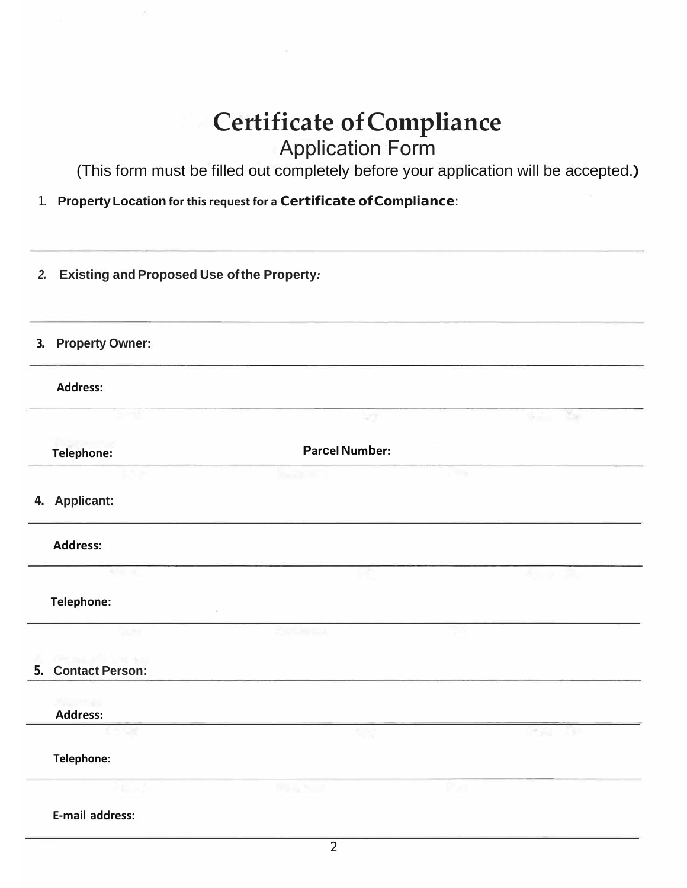# **Certificate ofCompliance**

### Application Form

(This form must be filled out completely before your application will be accepted.)

1. **Property Location for this request for a Certificate ofCompliance**:

| <b>Existing and Proposed Use of the Property:</b><br>2. |                        |                       |                   |  |
|---------------------------------------------------------|------------------------|-----------------------|-------------------|--|
| 3.                                                      | <b>Property Owner:</b> |                       |                   |  |
|                                                         | <b>Address:</b>        |                       |                   |  |
|                                                         |                        | 27                    | ×.<br><b>U.S.</b> |  |
|                                                         | <b>Telephone:</b>      | <b>Parcel Number:</b> |                   |  |
|                                                         |                        |                       | <b>COL</b>        |  |
|                                                         | 4. Applicant:          |                       |                   |  |
|                                                         | <b>Address:</b>        |                       |                   |  |
|                                                         | $+50 - 10$             |                       | Williams          |  |
|                                                         | Telephone:             |                       |                   |  |
|                                                         | $-2.79$                |                       |                   |  |
| 5.                                                      | <b>Contact Person:</b> |                       |                   |  |
|                                                         | Paul 11 est            |                       |                   |  |
|                                                         | <b>Address:</b><br>w   | <b>City</b>           | 26 Feb<br>÷       |  |
|                                                         | Telephone:             |                       |                   |  |
|                                                         |                        | アルトランプ<br>m.          |                   |  |
|                                                         | E-mail address:        |                       |                   |  |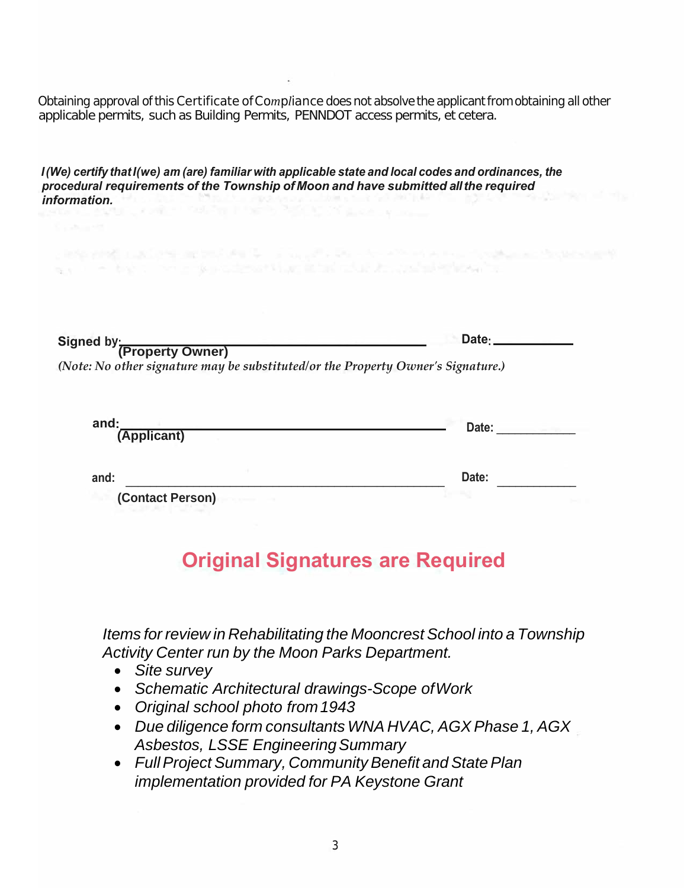Obtaining approval of this *Certificate ofCompliance* does not absolve the applicant from obtaining all other applicable permits, such as Building Permits, PENNDOT access permits, et cetera.

医肠腺炎 医假白细胞 医血管 医心包 医心包 医心包 医心包 医心包 医心包 计数据 医血管性 医心包性 医心包性

*I (We) certify that I(we) am (are) familiar with applicable state and local codes and ordinances, the procedural requirements of the Township of Moon and have submitted allthe required information.*

we have the control of the component of the control of the control of the control of

| Signed by: (Property Owner)                                                      | Date - |
|----------------------------------------------------------------------------------|--------|
|                                                                                  |        |
| (Note: No other signature may be substituted/or the Property Owner's Signature.) |        |
|                                                                                  |        |
|                                                                                  |        |

| and:<br>(Applicant)                                 | Date: |  |
|-----------------------------------------------------|-------|--|
| and:                                                | Date: |  |
| $\mathbf{A}$ $\mathbf{A}$ $\mathbf{A}$ $\mathbf{B}$ |       |  |

### **(Contact Person)**

### **Original Signatures are Required**

*Items for review in Rehabilitating the Mooncrest School into a Township Activity Center run by the Moon Parks Department.*

- *Site survey*
- *Schematic Architectural drawings-Scope ofWork*
- *Original school photo from1943*
- *Due diligence form consultants WNA HVAC, AGX Phase 1, AGX Asbestos, LSSE EngineeringSummary*
- *Full Project Summary, Community Benefit and State Plan implementation provided for PA Keystone Grant*